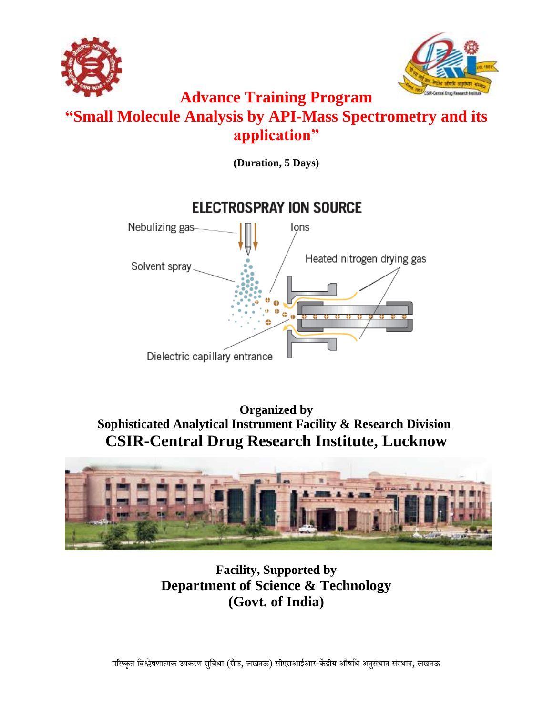



# **Advance Training Program "Small Molecule Analysis by API-Mass Spectrometry and its application"**

**(Duration, 5 Days)**



**Organized by Sophisticated Analytical Instrument Facility & Research Division CSIR-Central Drug Research Institute, Lucknow**



**Facility, Supported by Department of Science & Technology (Govt. of India)**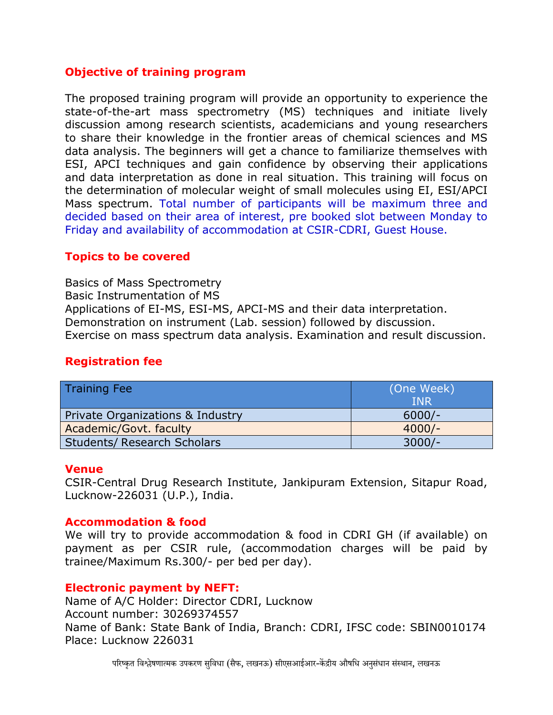# **Objective of training program**

The proposed training program will provide an opportunity to experience the state-of-the-art mass spectrometry (MS) techniques and initiate lively discussion among research scientists, academicians and young researchers to share their knowledge in the frontier areas of chemical sciences and MS data analysis. The beginners will get a chance to familiarize themselves with ESI, APCI techniques and gain confidence by observing their applications and data interpretation as done in real situation. This training will focus on the determination of molecular weight of small molecules using EI, ESI/APCI Mass spectrum. Total number of participants will be maximum three and decided based on their area of interest, pre booked slot between Monday to Friday and availability of accommodation at CSIR-CDRI, Guest House.

# **Topics to be covered**

Basics of Mass Spectrometry Basic Instrumentation of MS Applications of EI-MS, ESI-MS, APCI-MS and their data interpretation. Demonstration on instrument (Lab. session) followed by discussion. Exercise on mass spectrum data analysis. Examination and result discussion.

# **Registration fee**

| <b>Training Fee</b>                | (One Week) |
|------------------------------------|------------|
|                                    | <b>TNR</b> |
| Private Organizations & Industry   | $6000/-$   |
| Academic/Govt. faculty             | $4000/-$   |
| <b>Students/ Research Scholars</b> | $3000/-$   |

# **Venue**

CSIR-Central Drug Research Institute, Jankipuram Extension, Sitapur Road, Lucknow-226031 (U.P.), India.

# **Accommodation & food**

We will try to provide accommodation & food in CDRI GH (if available) on payment as per CSIR rule, (accommodation charges will be paid by trainee/Maximum Rs.300/- per bed per day).

# **Electronic payment by NEFT:**

Name of A/C Holder: Director CDRI, Lucknow Account number: 30269374557 Name of Bank: State Bank of India, Branch: CDRI, IFSC code: SBIN0010174 Place: Lucknow 226031

परिष्कृत विश्लेषणात्मक उपकरण सविधा (सैफ, लखनऊ) सीएसआईआर-केंद्रीय औषधि अनसंधान संस्थान, लखनऊ